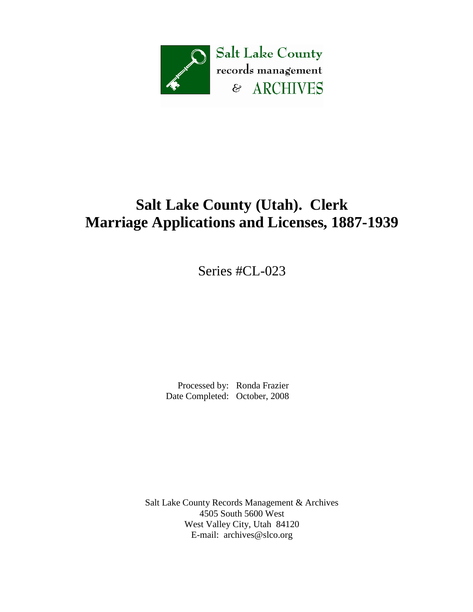

# **Salt Lake County (Utah). Clerk Marriage Applications and Licenses, 1887-1939**

Series #CL-023

 Processed by: Ronda Frazier Date Completed: October, 2008

Salt Lake County Records Management & Archives 4505 South 5600 West West Valley City, Utah 84120 E-mail: [archives@slco.org](mailto:archives@slco.org)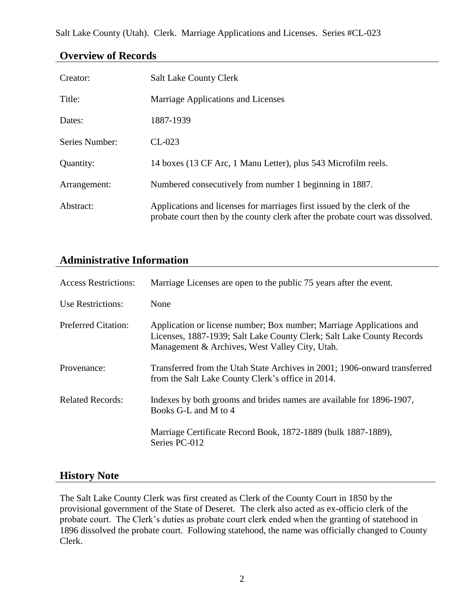Salt Lake County (Utah). Clerk. Marriage Applications and Licenses. Series #CL-023

| Creator:       | <b>Salt Lake County Clerk</b>                                                                                                                             |
|----------------|-----------------------------------------------------------------------------------------------------------------------------------------------------------|
| Title:         | Marriage Applications and Licenses                                                                                                                        |
| Dates:         | 1887-1939                                                                                                                                                 |
| Series Number: | $CL-023$                                                                                                                                                  |
| Quantity:      | 14 boxes (13 CF Arc, 1 Manu Letter), plus 543 Microfilm reels.                                                                                            |
| Arrangement:   | Numbered consecutively from number 1 beginning in 1887.                                                                                                   |
| Abstract:      | Applications and licenses for marriages first issued by the clerk of the<br>probate court then by the county clerk after the probate court was dissolved. |

### **Overview of Records**

# **Administrative Information**

| <b>Access Restrictions:</b> | Marriage Licenses are open to the public 75 years after the event.                                                                                                                              |
|-----------------------------|-------------------------------------------------------------------------------------------------------------------------------------------------------------------------------------------------|
| Use Restrictions:           | None                                                                                                                                                                                            |
| Preferred Citation:         | Application or license number; Box number; Marriage Applications and<br>Licenses, 1887-1939; Salt Lake County Clerk; Salt Lake County Records<br>Management & Archives, West Valley City, Utah. |
| Provenance:                 | Transferred from the Utah State Archives in 2001; 1906-onward transferred<br>from the Salt Lake County Clerk's office in 2014.                                                                  |
| <b>Related Records:</b>     | Indexes by both grooms and brides names are available for 1896-1907,<br>Books G-L and M to 4                                                                                                    |
|                             | Marriage Certificate Record Book, 1872-1889 (bulk 1887-1889),<br>Series PC-012                                                                                                                  |

#### **History Note**

The Salt Lake County Clerk was first created as Clerk of the County Court in 1850 by the provisional government of the State of Deseret. The clerk also acted as ex-officio clerk of the probate court. The Clerk's duties as probate court clerk ended when the granting of statehood in 1896 dissolved the probate court. Following statehood, the name was officially changed to County Clerk.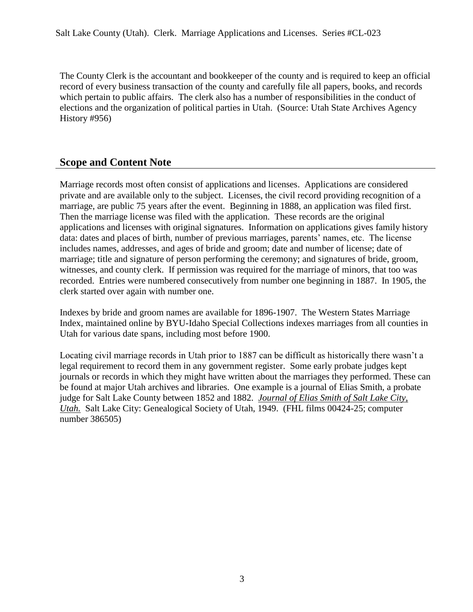The County Clerk is the accountant and bookkeeper of the county and is required to keep an official record of every business transaction of the county and carefully file all papers, books, and records which pertain to public affairs. The clerk also has a number of responsibilities in the conduct of elections and the organization of political parties in Utah. (Source: Utah State Archives Agency History #956)

## **Scope and Content Note**

Marriage records most often consist of applications and licenses. Applications are considered private and are available only to the subject. Licenses, the civil record providing recognition of a marriage, are public 75 years after the event. Beginning in 1888, an application was filed first. Then the marriage license was filed with the application. These records are the original applications and licenses with original signatures. Information on applications gives family history data: dates and places of birth, number of previous marriages, parents' names, etc. The license includes names, addresses, and ages of bride and groom; date and number of license; date of marriage; title and signature of person performing the ceremony; and signatures of bride, groom, witnesses, and county clerk. If permission was required for the marriage of minors, that too was recorded. Entries were numbered consecutively from number one beginning in 1887. In 1905, the clerk started over again with number one.

Indexes by bride and groom names are available for 1896-1907. The Western States Marriage Index, maintained online by BYU-Idaho Special Collections indexes marriages from all counties in Utah for various date spans, including most before 1900.

Locating civil marriage records in Utah prior to 1887 can be difficult as historically there wasn't a legal requirement to record them in any government register. Some early probate judges kept journals or records in which they might have written about the marriages they performed. These can be found at major Utah archives and libraries. One example is a journal of Elias Smith, a probate judge for Salt Lake County between 1852 and 1882. *Journal of Elias Smith of Salt Lake City, Utah.* Salt Lake City: Genealogical Society of Utah, 1949. (FHL films 00424-25; computer number 386505)